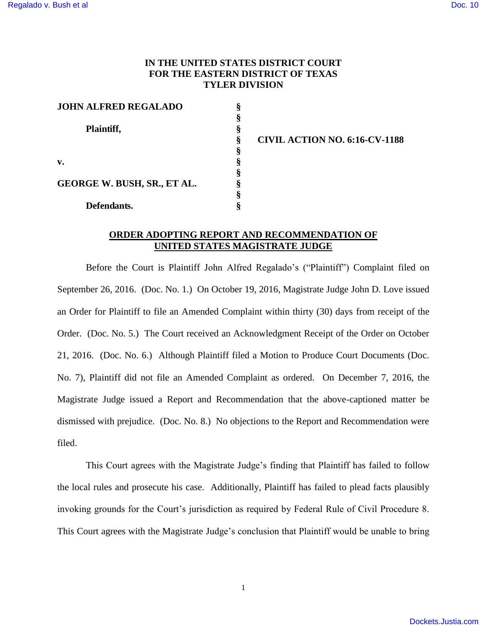## **IN THE UNITED STATES DISTRICT COURT FOR THE EASTERN DISTRICT OF TEXAS TYLER DIVISION**

| <b>JOHN ALFRED REGALADO</b> |   |
|-----------------------------|---|
|                             |   |
| Plaintiff,                  |   |
|                             |   |
|                             |   |
| $\mathbf{v}$ .              | ş |
|                             |   |
| GEORGE W. BUSH, SR., ET AL. |   |
|                             |   |
| Defendants.                 |   |

**§ CIVIL ACTION NO. 6:16-CV-1188** 

## **ORDER ADOPTING REPORT AND RECOMMENDATION OF UNITED STATES MAGISTRATE JUDGE**

 Before the Court is Plaintiff John Alfred Regalado's ("Plaintiff") Complaint filed on September 26, 2016. (Doc. No. 1.) On October 19, 2016, Magistrate Judge John D. Love issued an Order for Plaintiff to file an Amended Complaint within thirty (30) days from receipt of the Order. (Doc. No. 5.) The Court received an Acknowledgment Receipt of the Order on October 21, 2016. (Doc. No. 6.) Although Plaintiff filed a Motion to Produce Court Documents (Doc. No. 7), Plaintiff did not file an Amended Complaint as ordered. On December 7, 2016, the Magistrate Judge issued a Report and Recommendation that the above-captioned matter be dismissed with prejudice. (Doc. No. 8.) No objections to the Report and Recommendation were filed.

This Court agrees with the Magistrate Judge's finding that Plaintiff has failed to follow the local rules and prosecute his case. Additionally, Plaintiff has failed to plead facts plausibly invoking grounds for the Court's jurisdiction as required by Federal Rule of Civil Procedure 8. This Court agrees with the Magistrate Judge's conclusion that Plaintiff would be unable to bring